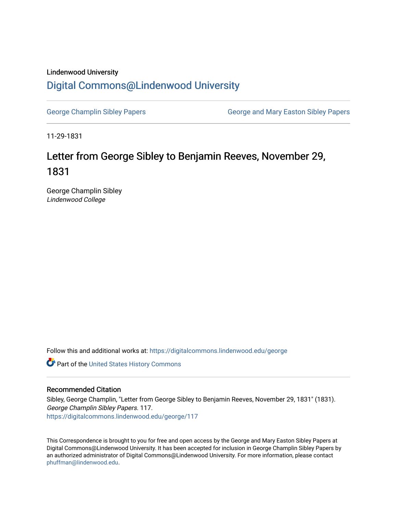## Lindenwood University [Digital Commons@Lindenwood University](https://digitalcommons.lindenwood.edu/)

[George Champlin Sibley Papers](https://digitalcommons.lindenwood.edu/george) George and Mary Easton Sibley Papers

11-29-1831

## Letter from George Sibley to Benjamin Reeves, November 29, 1831

George Champlin Sibley Lindenwood College

Follow this and additional works at: [https://digitalcommons.lindenwood.edu/george](https://digitalcommons.lindenwood.edu/george?utm_source=digitalcommons.lindenwood.edu%2Fgeorge%2F117&utm_medium=PDF&utm_campaign=PDFCoverPages)

Part of the [United States History Commons](http://network.bepress.com/hgg/discipline/495?utm_source=digitalcommons.lindenwood.edu%2Fgeorge%2F117&utm_medium=PDF&utm_campaign=PDFCoverPages) 

## Recommended Citation

Sibley, George Champlin, "Letter from George Sibley to Benjamin Reeves, November 29, 1831" (1831). George Champlin Sibley Papers. 117. [https://digitalcommons.lindenwood.edu/george/117](https://digitalcommons.lindenwood.edu/george/117?utm_source=digitalcommons.lindenwood.edu%2Fgeorge%2F117&utm_medium=PDF&utm_campaign=PDFCoverPages)

This Correspondence is brought to you for free and open access by the George and Mary Easton Sibley Papers at Digital Commons@Lindenwood University. It has been accepted for inclusion in George Champlin Sibley Papers by an authorized administrator of Digital Commons@Lindenwood University. For more information, please contact [phuffman@lindenwood.edu](mailto:phuffman@lindenwood.edu).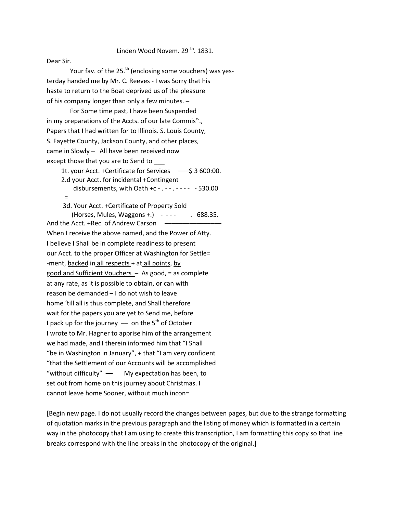## Linden Wood Novem.  $29<sup>th</sup>$ . 1831.

Dear Sir.

Your fav. of the 25.<sup>th</sup> (enclosing some vouchers) was yesterday handed me by Mr. C. Reeves - I was Sorry that his haste to return to the Boat deprived us of the pleasure of his company longer than only a few minutes. –

For Some time past, I have been Suspended in my preparations of the Accts. of our late Commis<sup>rs</sup>., Papers that I had written for to Illinois. S. Louis County, S. Fayette County, Jackson County, and other places, came in Slowly – All have been received now except those that you are to Send to \_\_\_

1t. your Acct. +Certificate for Services –––\$ 3 600:00. 2.d your Acct. for incidental +Contingent disbursements, with Oath +c - . - - . - - - - - 530.00

=

 3d. Your Acct. +Certificate of Property Sold  $(Horses, Mules, Waggons +.) - - - - - - 688.35.$ 

And the Acct. +Rec. of Andrew Carson When I receive the above named, and the Power of Atty. I believe I Shall be in complete readiness to present our Acct. to the proper Officer at Washington for Settle= -ment, backed in all respects + at all points, by good and Sufficient Vouchers – As good, = as complete at any rate, as it is possible to obtain, or can with reason be demanded – I do not wish to leave home 'till all is thus complete, and Shall therefore wait for the papers you are yet to Send me, before I pack up for the journey  $-$  on the 5<sup>th</sup> of October I wrote to Mr. Hagner to apprise him of the arrangement we had made, and I therein informed him that "I Shall "be in Washington in January", + that "I am very confident "that the Settlement of our Accounts will be accomplished "without difficulty" **––** My expectation has been, to set out from home on this journey about Christmas. I cannot leave home Sooner, without much incon=

[Begin new page. I do not usually record the changes between pages, but due to the strange formatting of quotation marks in the previous paragraph and the listing of money which is formatted in a certain way in the photocopy that I am using to create this transcription, I am formatting this copy so that line breaks correspond with the line breaks in the photocopy of the original.]